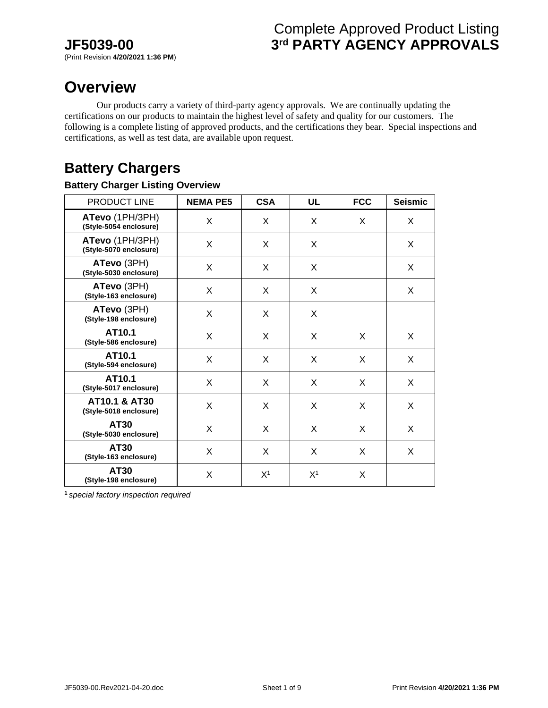# Complete Approved Product Listing **JF5039-00 3rd PARTY AGENCY APPROVALS**

# **Overview**

 Our products carry a variety of third-party agency approvals. We are continually updating the certifications on our products to maintain the highest level of safety and quality for our customers. The following is a complete listing of approved products, and the certifications they bear. Special inspections and certifications, as well as test data, are available upon request.

# **Battery Chargers**

## **Battery Charger Listing Overview**

| PRODUCT LINE                                       | <b>NEMA PE5</b> | <b>CSA</b>     | <b>UL</b>      | <b>FCC</b> | <b>Seismic</b> |
|----------------------------------------------------|-----------------|----------------|----------------|------------|----------------|
| ATevo (1PH/3PH)<br>(Style-5054 enclosure)          | X               | X              | X              | X          | X              |
| ATevo (1PH/3PH)<br>(Style-5070 enclosure)          | X               | X              | X              |            | X              |
| ATevo (3PH)<br>(Style-5030 enclosure)              | X               | X              | X              |            | X              |
| ATevo (3PH)<br>(Style-163 enclosure)               | X               | X              | X              |            | X              |
| ATevo (3PH)<br>(Style-198 enclosure)               | X               | X              | X              |            |                |
| AT10.1<br>(Style-586 enclosure)                    | X               | X              | X              | X          | X              |
| AT10.1<br>(Style-594 enclosure)                    | X               | X              | X              | X          | X              |
| AT10.1<br>(Style-5017 enclosure)                   | X               | X              | X              | X          | X              |
| <b>AT10.1 &amp; AT30</b><br>(Style-5018 enclosure) | X               | X              | X              | X          | X              |
| AT30<br>(Style-5030 enclosure)                     | X               | X              | X              | X          | X              |
| AT30<br>(Style-163 enclosure)                      | X               | X              | X              | X          | X              |
| AT30<br>(Style-198 enclosure)                      | X               | X <sup>1</sup> | X <sup>1</sup> | X          |                |

**1** *special factory inspection required*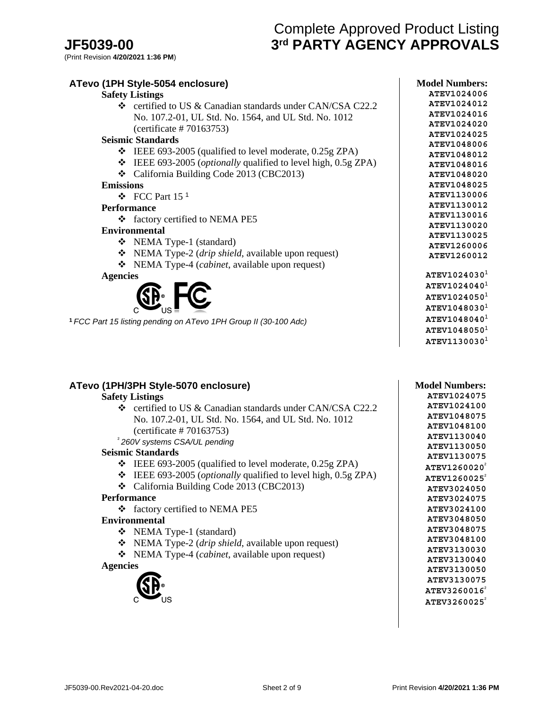# Complete Approved Product Listing **JF5039-00 3rd PARTY AGENCY APPROVALS**

| ATevo (1PH Style-5054 enclosure)                                               | <b>Model Numbers:</b>      |
|--------------------------------------------------------------------------------|----------------------------|
| <b>Safety Listings</b>                                                         | ATEV1024006                |
| $\div$ certified to US & Canadian standards under CAN/CSA C22.2                | ATEV1024012                |
| No. 107.2-01, UL Std. No. 1564, and UL Std. No. 1012                           | ATEV1024016                |
| (certificance # 70163753)                                                      | ATEV1024020                |
| <b>Seismic Standards</b>                                                       | ATEV1024025                |
|                                                                                | ATEV1048006                |
| $\div$ IEEE 693-2005 (qualified to level moderate, 0.25g ZPA)                  | ATEV1048012                |
| IEEE 693-2005 ( <i>optionally</i> qualified to level high, 0.5g ZPA)<br>❖      | ATEV1048016                |
| California Building Code 2013 (CBC2013)                                        | ATEV1048020                |
| <b>Emissions</b>                                                               | ATEV1048025                |
| $\div$ FCC Part 15 <sup>1</sup>                                                | ATEV1130006                |
| <b>Performance</b>                                                             | ATEV1130012                |
| ❖ factory certified to NEMA PE5                                                | ATEV1130016                |
| <b>Environmental</b>                                                           | ATEV1130020                |
| ❖ NEMA Type-1 (standard)                                                       | ATEV1130025                |
| NEMA Type-2 ( <i>drip shield</i> , available upon request)<br>❖                | ATEV1260006                |
|                                                                                | ATEV1260012                |
| NEMA Type-4 ( <i>cabinet</i> , available upon request)<br>❖<br><b>Agencies</b> | ATEV1024030 <sup>1</sup>   |
|                                                                                | ATEV1024040 <sup>1</sup>   |
|                                                                                | $ATEV1024050$ <sup>1</sup> |
|                                                                                | ATEV1048030 <sup>1</sup>   |
| <sup>1</sup> FCC Part 15 listing pending on ATevo 1PH Group II (30-100 Adc)    | ATEV1048040 <sup>1</sup>   |
|                                                                                | $ATEV1048050$ <sup>1</sup> |

**ATevo (1PH/3PH Style-5070 enclosure)**

## **Safety Listings**

- certified to US & Canadian standards under CAN/CSA C22.2 No. 107.2-01, UL Std. No. 1564, and UL Std. No. 1012 (certificate # 70163753)
- <sup>²</sup>*260V systems CSA/UL pending*

#### **Seismic Standards**

- $\div$  IEEE 693-2005 (qualified to level moderate, 0.25g ZPA)
- IEEE 693-2005 (*optionally* qualified to level high, 0.5g ZPA)
- California Building Code 2013 (CBC2013)

#### **Performance**

factory certified to NEMA PE5

#### **Environmental**

- NEMA Type-1 (standard)
- NEMA Type-2 (*drip shield*, available upon request)
- NEMA Type-4 (*cabinet*, available upon request)

#### **Agencies**



**Model Numbers: ATEV1024075 ATEV1024100 ATEV1048075 ATEV1048100 ATEV1130040 ATEV1130050 ATEV1130075 ATEV1260020**<sup>²</sup> **ATEV1260025**<sup>²</sup> **ATEV3024050 ATEV3024075 ATEV3024100 ATEV3048050 ATEV3048075 ATEV3048100 ATEV3130030 ATEV3130040 ATEV3130050 ATEV3130075 ATEV3260016**<sup>²</sup> **ATEV3260025**²

**ATEV1130030**<sup>1</sup>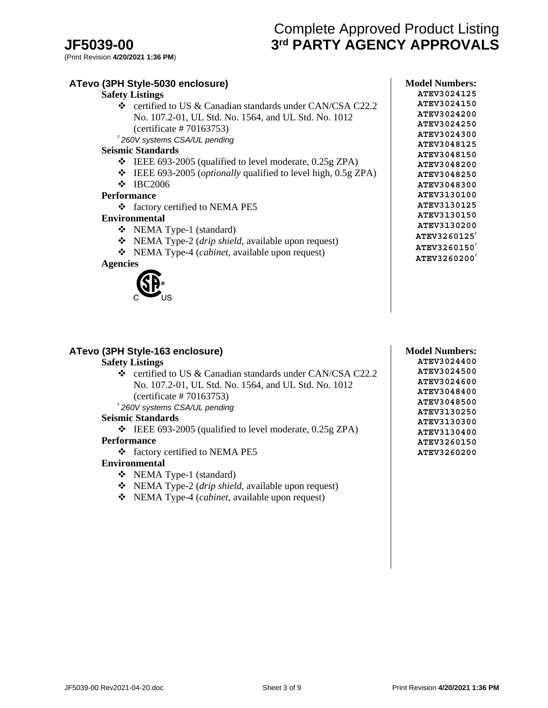# Complete Approved Product Listing **JF5039-00 3rd PARTY AGENCY APPROVALS**

## **ATevo (3PH Style-5030 enclosure) Safety Listings** certified to US & Canadian standards under CAN/CSA C22.2 No. 107.2-01, UL Std. No. 1564, and UL Std. No. 1012 (certificate # 70163753) <sup>²</sup>*260V systems CSA/UL pending* **Seismic Standards**   $\div$  IEEE 693-2005 (qualified to level moderate, 0.25g ZPA) IEEE 693-2005 (*optionally* qualified to level high, 0.5g ZPA)  $\div$  IBC2006 **Performance**  ❖ factory certified to NEMA PE5 **Environmental**  NEMA Type-1 (standard) NEMA Type-2 (*drip shield*, available upon request) NEMA Type-4 (*cabinet*, available upon request)

**Agencies** 



#### **ATEV3024150 ATEV3024200 ATEV3024250 ATEV3024300 ATEV3048125 ATEV3048150 ATEV3048200 ATEV3048250 ATEV3048300 ATEV3130100 ATEV3130125 ATEV3130150 ATEV3130200 ATEV3260125**<sup>²</sup> **ATEV3260150**<sup>²</sup> **ATEV3260200**<sup>²</sup>

**Model Numbers: ATEV3024125**

## **ATevo (3PH Style-163 enclosure)**

#### **Safety Listings**

 certified to US & Canadian standards under CAN/CSA C22.2 No. 107.2-01, UL Std. No. 1564, and UL Std. No. 1012 (certificate # 70163753)

<sup>²</sup>*260V systems CSA/UL pending*

#### **Seismic Standards**

 $\div$  IEEE 693-2005 (qualified to level moderate, 0.25g ZPA)

#### **Performance**

factory certified to NEMA PE5

### **Environmental**

- NEMA Type-1 (standard)
- NEMA Type-2 (*drip shield*, available upon request)
- NEMA Type-4 (*cabinet*, available upon request)

### **Model Numbers:**

**ATEV3024400 ATEV3024500 ATEV3024600 ATEV3048400 ATEV3048500 ATEV3130250 ATEV3130300 ATEV3130400 ATEV3260150 ATEV3260200**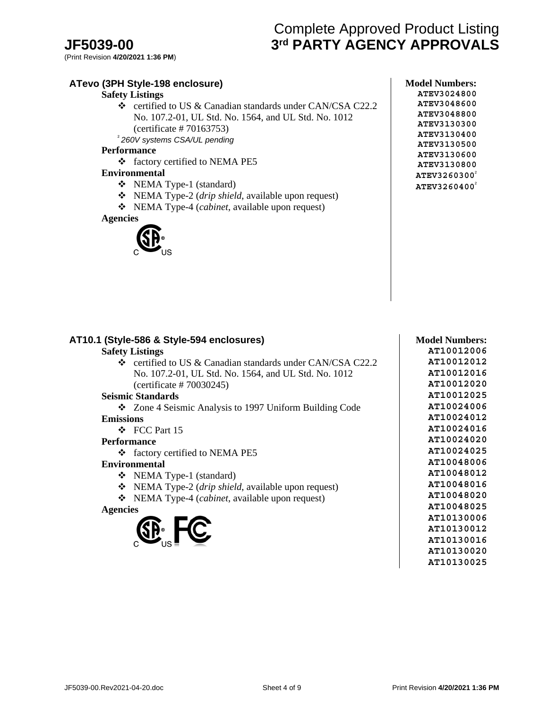# Complete Approved Product Listing **JF5039-00 3rd PARTY AGENCY APPROVALS**

## **ATevo (3PH Style-198 enclosure)**

### **Safety Listings**

 certified to US & Canadian standards under CAN/CSA C22.2 No. 107.2-01, UL Std. No. 1564, and UL Std. No. 1012 (certificate # 70163753) <sup>²</sup>*260V systems CSA/UL pending*

#### **Performance**

factory certified to NEMA PE5

#### **Environmental**

- NEMA Type-1 (standard)
- NEMA Type-2 (*drip shield*, available upon request)
- NEMA Type-4 (*cabinet*, available upon request)

#### **Agencies**



| <b>Model Numbers:</b>    |
|--------------------------|
| ATEV3024800              |
| ATEV3048600              |
| ATEV3048800              |
| ATEV3130300              |
| ATEV3130400              |
| ATEV3130500              |
| ATEV3130600              |
| ATEV3130800              |
| ATEV3260300 <sup>2</sup> |
| ATEV3260400              |

|                  | <b>Safety Listings</b><br>$\div$ certified to US & Canadian standards under CAN/CSA C22.2 |
|------------------|-------------------------------------------------------------------------------------------|
|                  | No. 107.2-01, UL Std. No. 1564, and UL Std. No. 1012                                      |
|                  | (certificance # 70030245)                                                                 |
|                  | <b>Seismic Standards</b>                                                                  |
|                  | ❖ Zone 4 Seismic Analysis to 1997 Uniform Building Code                                   |
| <b>Emissions</b> |                                                                                           |
|                  | $\div$ FCC Part 15                                                                        |
|                  | <b>Performance</b>                                                                        |
|                  | ❖ factory certified to NEMA PE5                                                           |
|                  | <b>Environmental</b>                                                                      |
|                  | ❖ NEMA Type-1 (standard)                                                                  |
|                  | $\triangleleft$ NEMA Type-2 (drip shield, available upon request)                         |
|                  | ❖ NEMA Type-4 ( <i>cabinet</i> , available upon request)                                  |
| <b>Agencies</b>  |                                                                                           |
|                  |                                                                                           |
|                  | y. LC                                                                                     |
|                  |                                                                                           |

#### **AT10012006 AT10012012 AT10012016 AT10012020 AT10012025 AT10024006 AT10024012 AT10024016 AT10024020 AT10024025 AT10048006 AT10048012 AT10048016 AT10048020 AT10048025 AT10130006 AT10130012**

**AT10130016 AT10130020 AT10130025**

**Model Numbers:**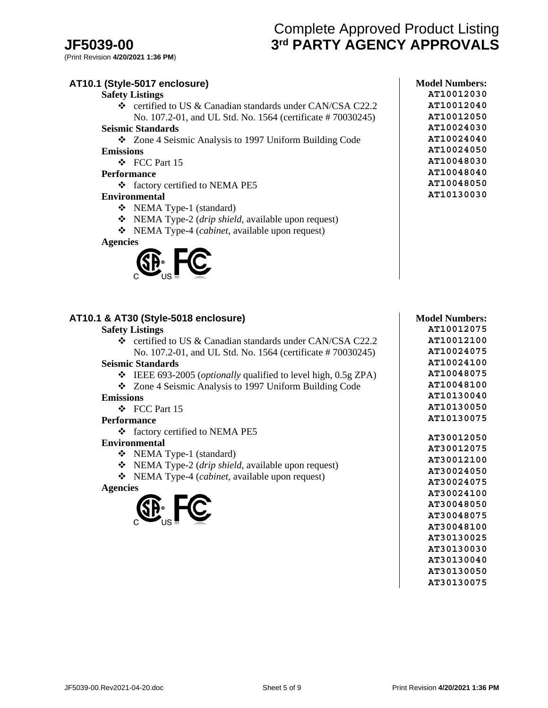# Complete Approved Product Listing **JF5039-00 3rd PARTY AGENCY APPROVALS**

(Print Revision **4/20/2021 1:36 PM**)

| AT10.1 (Style-5017 enclosure)                                          | <b>Model Numbers:</b> |
|------------------------------------------------------------------------|-----------------------|
| <b>Safety Listings</b>                                                 | AT10012030            |
| ❖ certified to US & Canadian standards under CAN/CSA C22.2             | AT10012040            |
| No. 107.2-01, and UL Std. No. 1564 (certificate #70030245)             | AT10012050            |
| <b>Seismic Standards</b>                                               | AT10024030            |
| ❖ Zone 4 Seismic Analysis to 1997 Uniform Building Code                | AT10024040            |
| <b>Emissions</b>                                                       | AT10024050            |
| ❖ FCC Part 15                                                          | AT10048030            |
| <b>Performance</b>                                                     | AT10048040            |
| ❖ factory certified to NEMA PE5                                        | AT10048050            |
| <b>Environmental</b>                                                   | AT10130030            |
| ❖ NEMA Type-1 (standard)                                               |                       |
| $\bullet$ NEMA Type-2 ( <i>drip shield</i> , available upon request)   |                       |
| ❖ NEMA Type-4 (cabinet, available upon request)                        |                       |
| <b>Agencies</b>                                                        |                       |
|                                                                        |                       |
|                                                                        |                       |
| AT10.1 & AT30 (Style-5018 enclosure)                                   | <b>Model Numbers:</b> |
| <b>Safety Listings</b>                                                 | AT10012075            |
| ❖ certified to US & Canadian standards under CAN/CSA C22.2             | AT10012100            |
| No. 107.2-01, and UL Std. No. 1564 (certificate #70030245)             | AT10024075            |
| <b>Seismic Standards</b>                                               | AT10024100            |
| ❖ IEEE 693-2005 ( <i>optionally</i> qualified to level high, 0.5g ZPA) | AT10048075            |
| ❖ Zone 4 Seismic Analysis to 1997 Uniform Building Code                | AT10048100            |
| <b>Emissions</b>                                                       | AT10130040            |
| ❖ FCC Part 15                                                          | AT10130050            |
| <b>Performance</b>                                                     | AT10130075            |
| ❖ factory certified to NEMA PE5                                        | AT30012050            |
| <b>Environmental</b>                                                   | AT30012075            |
| ❖ NEMA Type-1 (standard)                                               | AT30012100            |
| $\bullet$ NEMA Type-2 ( <i>drip shield</i> , available upon request)   | AT30024050            |
| ❖ NEMA Type-4 (cabinet, available upon request)                        | AT30024075            |
| <b>Agencies</b>                                                        | AT30024100            |



**AT30048075 AT30048100 AT30130025 AT30130030 AT30130040 AT30130050 AT30130075**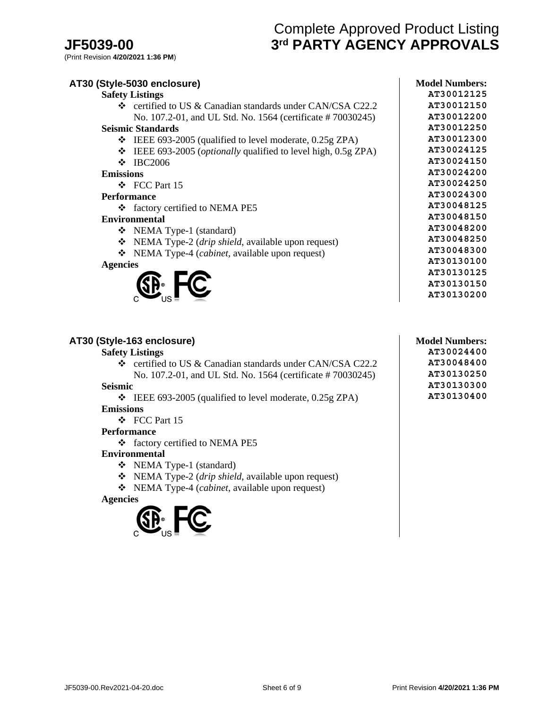# Complete Approved Product Listing **JF5039-00 3rd PARTY AGENCY APPROVALS**

(Print Revision **4/20/2021 1:36 PM**)

| AT30 (Style-5030 enclosure)                                               | <b>Model Numbers:</b> |
|---------------------------------------------------------------------------|-----------------------|
| <b>Safety Listings</b>                                                    | AT30012125            |
| $\div$ certified to US & Canadian standards under CAN/CSA C22.2           | AT30012150            |
| No. 107.2-01, and UL Std. No. 1564 (certificate #70030245)                | AT30012200            |
| <b>Seismic Standards</b>                                                  | AT30012250            |
| IEEE 693-2005 (qualified to level moderate, 0.25g ZPA)<br>❖               | AT30012300            |
| IEEE 693-2005 ( <i>optionally</i> qualified to level high, 0.5g ZPA)<br>❖ | AT30024125            |
| <b>IBC2006</b><br>❖                                                       | AT30024150            |
| <b>Emissions</b>                                                          | AT30024200            |
| $\div$ FCC Part 15                                                        | AT30024250            |
| <b>Performance</b>                                                        | AT30024300            |
| ❖ factory certified to NEMA PE5                                           | AT30048125            |
| <b>Environmental</b>                                                      | AT30048150            |
| NEMA Type-1 (standard)<br>❖                                               | AT30048200            |
| NEMA Type-2 (drip shield, available upon request)<br>❖                    | AT30048250            |
| NEMA Type-4 ( <i>cabinet</i> , available upon request)<br>❖               | AT30048300            |
| <b>Agencies</b>                                                           | AT30130100            |
|                                                                           | AT30130125            |
|                                                                           | AT30130150            |
|                                                                           | AT30130200            |

#### **AT30 (Style-163 enclosure)**

#### **Safety Listings**

 certified to US & Canadian standards under CAN/CSA C22.2 No. 107.2-01, and UL Std. No. 1564 (certificate # 70030245)

#### **Seismic**

 IEEE 693-2005 (qualified to level moderate, 0.25g ZPA) **Emissions** 

# FCC Part 15

# **Performance**

factory certified to NEMA PE5

#### **Environmental**

- NEMA Type-1 (standard)
- NEMA Type-2 (*drip shield*, available upon request)
- NEMA Type-4 (*cabinet*, available upon request)





**Model Numbers: AT30024400 AT30048400 AT30130250 AT30130300 AT30130400**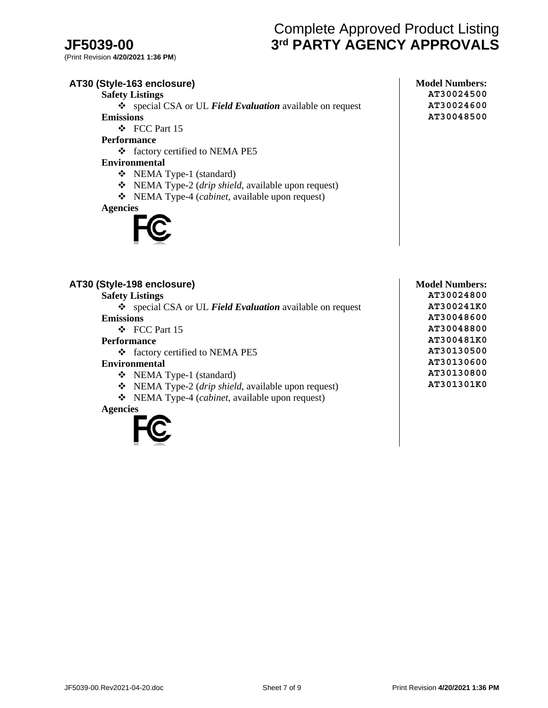# Complete Approved Product Listing **JF5039-00 3rd PARTY AGENCY APPROVALS**

(Print Revision **4/20/2021 1:36 PM**)

# **AT30 (Style-163 enclosure)**

**Safety Listings**

 special CSA or UL *Field Evaluation* available on request **Emissions** 

FCC Part 15

**Performance** 

factory certified to NEMA PE5

**Environmental** 

- NEMA Type-1 (standard)
- NEMA Type-2 (*drip shield*, available upon request)
- NEMA Type-4 (*cabinet*, available upon request)

**Agencies** 



### **AT30 (Style-198 enclosure)**

**Safety Listings** special CSA or UL *Field Evaluation* available on request **Emissions**  FCC Part 15

#### **Performance**

factory certified to NEMA PE5

#### **Environmental**

- NEMA Type-1 (standard)
- NEMA Type-2 (*drip shield*, available upon request)
- NEMA Type-4 (*cabinet*, available upon request)

#### **Agencies**



**Model Numbers: AT30024800 AT300241K0 AT30048600 AT30048800 AT300481K0 AT30130500 AT30130600 AT30130800 AT301301K0**

**Model Numbers: AT30024500 AT30024600 AT30048500**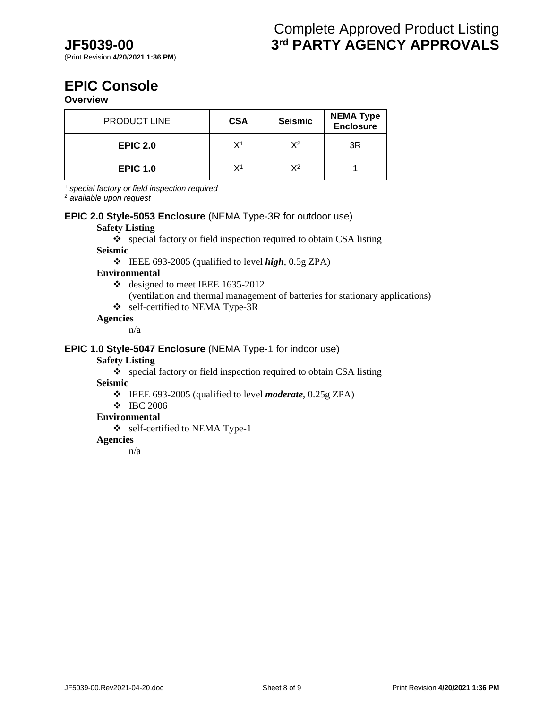# **EPIC Console**

**Overview**

| <b>PRODUCT LINE</b> | <b>CSA</b> | <b>Seismic</b> | <b>NEMA Type</b><br>Enclosure |
|---------------------|------------|----------------|-------------------------------|
| <b>EPIC 2.0</b>     | Χ1         | χ2             | 3R                            |
| <b>EPIC 1.0</b>     | Χ1         | χ2             |                               |

<sup>1</sup> *special factory or field inspection required* 

<sup>2</sup> *available upon request*

## **EPIC 2.0 Style-5053 Enclosure** (NEMA Type-3R for outdoor use)

#### **Safety Listing**

special factory or field inspection required to obtain CSA listing

## **Seismic**

IEEE 693-2005 (qualified to level *high*, 0.5g ZPA)

#### **Environmental**

- $\div$  designed to meet IEEE 1635-2012
	- (ventilation and thermal management of batteries for stationary applications)
- self-certified to NEMA Type-3R

#### **Agencies**

n/a

#### **EPIC 1.0 Style-5047 Enclosure** (NEMA Type-1 for indoor use)

### **Safety Listing**

special factory or field inspection required to obtain CSA listing

**Seismic**

- IEEE 693-2005 (qualified to level *moderate*, 0.25g ZPA)
- IBC 2006

#### **Environmental**

Self-certified to NEMA Type-1

## **Agencies**

n/a